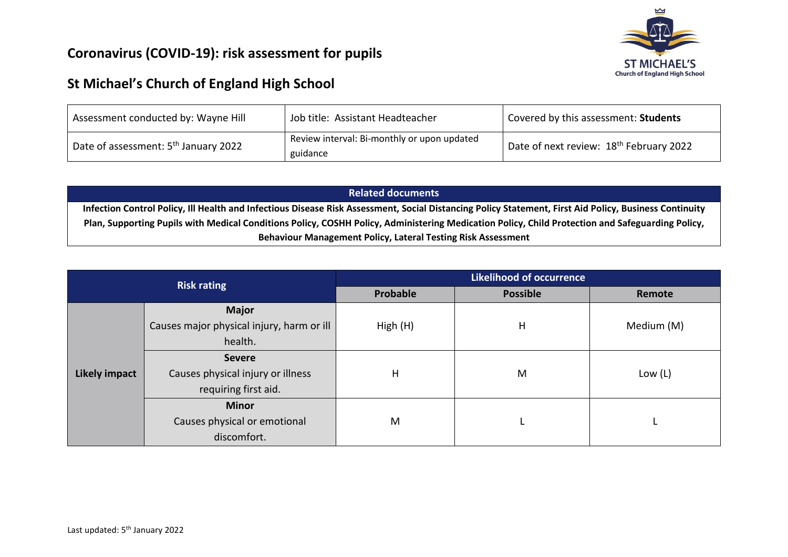## **Coronavirus (COVID-19): risk assessment for pupils**



## **St Michael's Church of England High School**

| Assessment conducted by: Wayne Hill              | Job title: Assistant Headteacher                        | Covered by this assessment: Students                |
|--------------------------------------------------|---------------------------------------------------------|-----------------------------------------------------|
| Date of assessment: 5 <sup>th</sup> January 2022 | Review interval: Bi-monthly or upon updated<br>guidance | Date of next review: 18 <sup>th</sup> February 2022 |

## **Related documents**

**Infection Control Policy, Ill Health and Infectious Disease Risk Assessment, Social Distancing Policy Statement, First Aid Policy, Business Continuity Plan, Supporting Pupils with Medical Conditions Policy, COSHH Policy, Administering Medication Policy, Child Protection and Safeguarding Policy, Behaviour Management Policy, Lateral Testing Risk Assessment**

|                      | <b>Risk rating</b>                        | <b>Likelihood of occurrence</b> |                 |            |  |  |  |
|----------------------|-------------------------------------------|---------------------------------|-----------------|------------|--|--|--|
|                      |                                           | Probable                        | <b>Possible</b> | Remote     |  |  |  |
|                      | <b>Major</b>                              |                                 |                 |            |  |  |  |
|                      | Causes major physical injury, harm or ill | High (H)                        | H               | Medium (M) |  |  |  |
|                      | health.                                   |                                 |                 |            |  |  |  |
|                      | <b>Severe</b>                             |                                 |                 |            |  |  |  |
| <b>Likely impact</b> | Causes physical injury or illness         | $\mathsf{H}$                    | M               | Low $(L)$  |  |  |  |
|                      | requiring first aid.                      |                                 |                 |            |  |  |  |
|                      | <b>Minor</b>                              |                                 |                 |            |  |  |  |
|                      | Causes physical or emotional              | M                               |                 |            |  |  |  |
|                      | discomfort.                               |                                 |                 |            |  |  |  |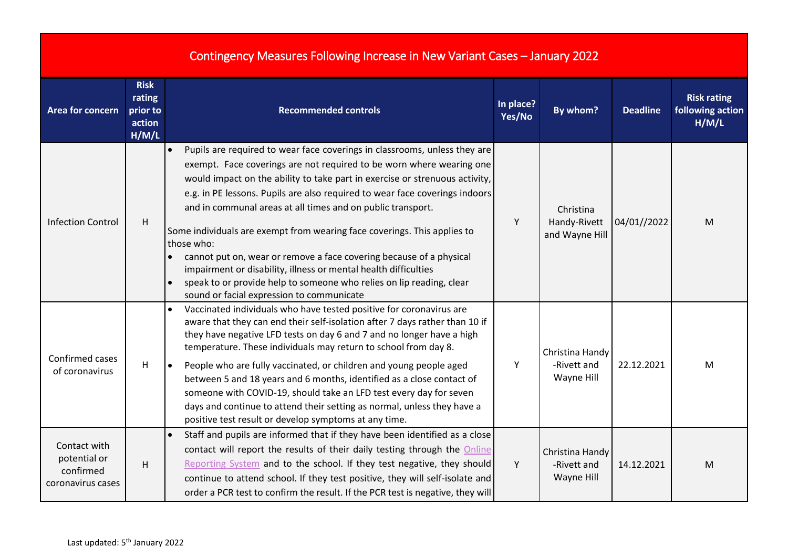|                                                                |                                                      | Contingency Measures Following Increase in New Variant Cases - January 2022                                                                                                                                                                                                                                                                                                                                                                                                                                                                                                                                                                                                                                                             |                     |                                              |                 |                                                 |
|----------------------------------------------------------------|------------------------------------------------------|-----------------------------------------------------------------------------------------------------------------------------------------------------------------------------------------------------------------------------------------------------------------------------------------------------------------------------------------------------------------------------------------------------------------------------------------------------------------------------------------------------------------------------------------------------------------------------------------------------------------------------------------------------------------------------------------------------------------------------------------|---------------------|----------------------------------------------|-----------------|-------------------------------------------------|
| Area for concern                                               | <b>Risk</b><br>rating<br>prior to<br>action<br>H/M/L | <b>Recommended controls</b>                                                                                                                                                                                                                                                                                                                                                                                                                                                                                                                                                                                                                                                                                                             | In place?<br>Yes/No | By whom?                                     | <b>Deadline</b> | <b>Risk rating</b><br>following action<br>H/M/L |
| <b>Infection Control</b>                                       | H                                                    | Pupils are required to wear face coverings in classrooms, unless they are<br>exempt. Face coverings are not required to be worn where wearing one<br>would impact on the ability to take part in exercise or strenuous activity,<br>e.g. in PE lessons. Pupils are also required to wear face coverings indoors<br>and in communal areas at all times and on public transport.<br>Some individuals are exempt from wearing face coverings. This applies to<br>those who:<br>cannot put on, wear or remove a face covering because of a physical<br>impairment or disability, illness or mental health difficulties<br>speak to or provide help to someone who relies on lip reading, clear<br>sound or facial expression to communicate | Y                   | Christina<br>Handy-Rivett<br>and Wayne Hill  | 04/01//2022     | M                                               |
| Confirmed cases<br>of coronavirus                              | H                                                    | Vaccinated individuals who have tested positive for coronavirus are<br>aware that they can end their self-isolation after 7 days rather than 10 if<br>they have negative LFD tests on day 6 and 7 and no longer have a high<br>temperature. These individuals may return to school from day 8.<br>People who are fully vaccinated, or children and young people aged<br>$\bullet$<br>between 5 and 18 years and 6 months, identified as a close contact of<br>someone with COVID-19, should take an LFD test every day for seven<br>days and continue to attend their setting as normal, unless they have a<br>positive test result or develop symptoms at any time.                                                                    | Υ                   | Christina Handy<br>-Rivett and<br>Wayne Hill | 22.12.2021      | M                                               |
| Contact with<br>potential or<br>confirmed<br>coronavirus cases | H                                                    | Staff and pupils are informed that if they have been identified as a close<br>contact will report the results of their daily testing through the Online<br>Reporting System and to the school. If they test negative, they should<br>continue to attend school. If they test positive, they will self-isolate and<br>order a PCR test to confirm the result. If the PCR test is negative, they will                                                                                                                                                                                                                                                                                                                                     | Y                   | Christina Handy<br>-Rivett and<br>Wayne Hill | 14.12.2021      | M                                               |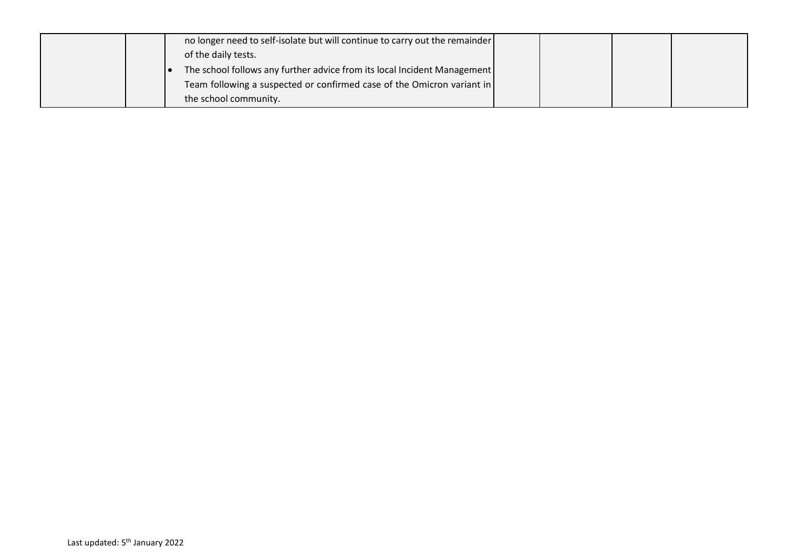|  | no longer need to self-isolate but will continue to carry out the remainder |  |  |
|--|-----------------------------------------------------------------------------|--|--|
|  | of the daily tests.                                                         |  |  |
|  | The school follows any further advice from its local Incident Management    |  |  |
|  | Team following a suspected or confirmed case of the Omicron variant in      |  |  |
|  | the school community.                                                       |  |  |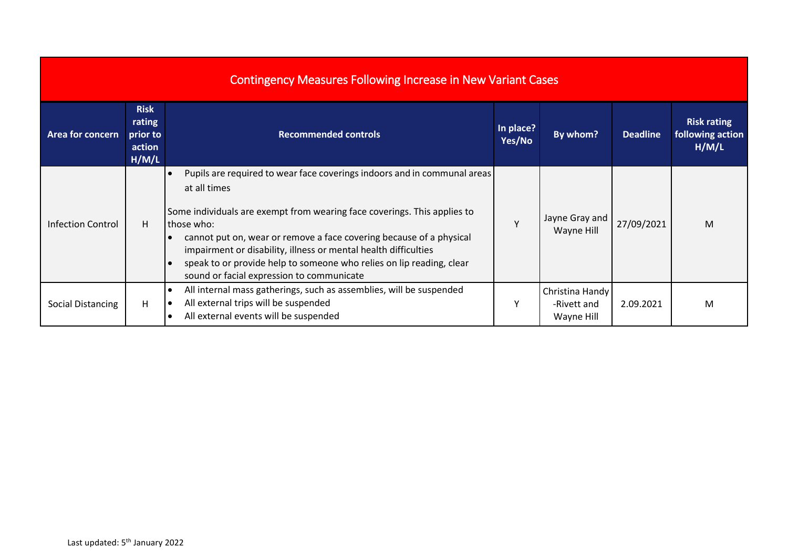| <b>Contingency Measures Following Increase in New Variant Cases</b> |                                                      |                                                                                                                                                                                                                                                                                                                                                                                                                                                                |                     |                                              |                 |                                                 |  |  |  |  |
|---------------------------------------------------------------------|------------------------------------------------------|----------------------------------------------------------------------------------------------------------------------------------------------------------------------------------------------------------------------------------------------------------------------------------------------------------------------------------------------------------------------------------------------------------------------------------------------------------------|---------------------|----------------------------------------------|-----------------|-------------------------------------------------|--|--|--|--|
| Area for concern                                                    | <b>Risk</b><br>rating<br>prior to<br>action<br>H/M/L | <b>Recommended controls</b>                                                                                                                                                                                                                                                                                                                                                                                                                                    | In place?<br>Yes/No | By whom?                                     | <b>Deadline</b> | <b>Risk rating</b><br>following action<br>H/M/L |  |  |  |  |
| <b>Infection Control</b>                                            | H                                                    | Pupils are required to wear face coverings indoors and in communal areas<br>at all times<br>Some individuals are exempt from wearing face coverings. This applies to<br>those who:<br>cannot put on, wear or remove a face covering because of a physical<br>impairment or disability, illness or mental health difficulties<br>speak to or provide help to someone who relies on lip reading, clear<br>$\bullet$<br>sound or facial expression to communicate | $\vee$              | Jayne Gray and<br>Wayne Hill                 | 27/09/2021      | M                                               |  |  |  |  |
| <b>Social Distancing</b>                                            | H                                                    | All internal mass gatherings, such as assemblies, will be suspended<br>All external trips will be suspended<br>- 0<br>All external events will be suspended                                                                                                                                                                                                                                                                                                    | ٧                   | Christina Handy<br>-Rivett and<br>Wayne Hill | 2.09.2021       | M                                               |  |  |  |  |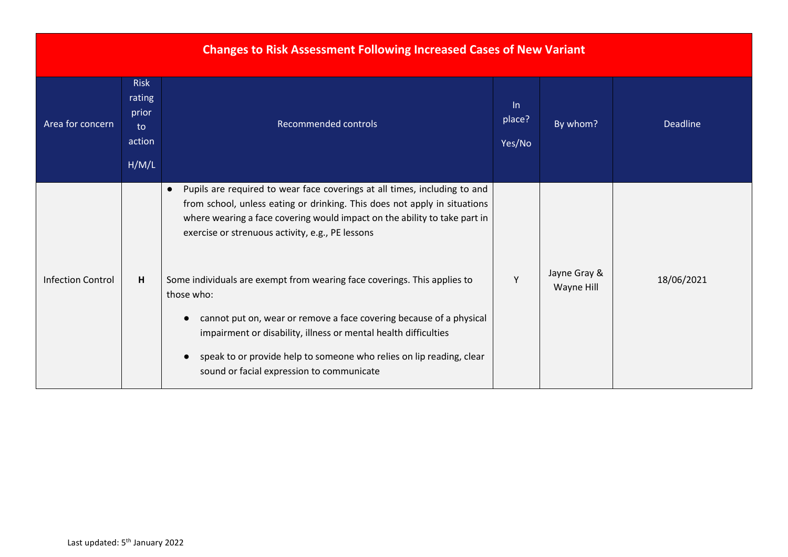| <b>Changes to Risk Assessment Following Increased Cases of New Variant</b> |                                                         |                                                                                                                                                                                                                                                                                                                                                       |                        |                            |                 |  |  |  |  |  |
|----------------------------------------------------------------------------|---------------------------------------------------------|-------------------------------------------------------------------------------------------------------------------------------------------------------------------------------------------------------------------------------------------------------------------------------------------------------------------------------------------------------|------------------------|----------------------------|-----------------|--|--|--|--|--|
| Area for concern                                                           | <b>Risk</b><br>rating<br>prior<br>to<br>action<br>H/M/L | <b>Recommended controls</b>                                                                                                                                                                                                                                                                                                                           | In<br>place?<br>Yes/No | By whom?                   | <b>Deadline</b> |  |  |  |  |  |
|                                                                            |                                                         | Pupils are required to wear face coverings at all times, including to and<br>$\bullet$<br>from school, unless eating or drinking. This does not apply in situations<br>where wearing a face covering would impact on the ability to take part in<br>exercise or strenuous activity, e.g., PE lessons                                                  |                        |                            |                 |  |  |  |  |  |
| <b>Infection Control</b>                                                   | H.                                                      | Some individuals are exempt from wearing face coverings. This applies to<br>those who:<br>cannot put on, wear or remove a face covering because of a physical<br>impairment or disability, illness or mental health difficulties<br>speak to or provide help to someone who relies on lip reading, clear<br>sound or facial expression to communicate | Y                      | Jayne Gray &<br>Wayne Hill | 18/06/2021      |  |  |  |  |  |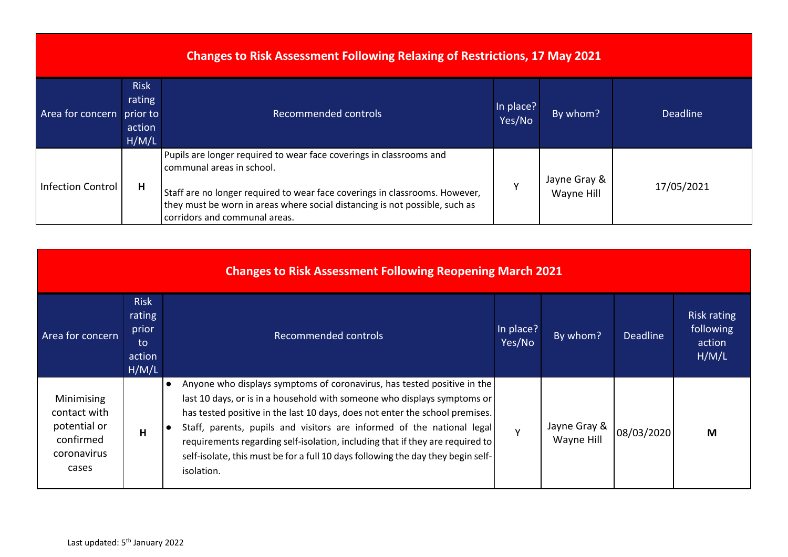| <b>Changes to Risk Assessment Following Relaxing of Restrictions, 17 May 2021</b> |                                                      |                                                                                                                                                                                                                                                                                                 |                     |                            |            |  |  |  |  |
|-----------------------------------------------------------------------------------|------------------------------------------------------|-------------------------------------------------------------------------------------------------------------------------------------------------------------------------------------------------------------------------------------------------------------------------------------------------|---------------------|----------------------------|------------|--|--|--|--|
| Area for concern                                                                  | <b>Risk</b><br>rating<br>prior to<br>action<br>H/M/L | Recommended controls                                                                                                                                                                                                                                                                            | In place?<br>Yes/No | By whom?                   | Deadline   |  |  |  |  |
| <b>Infection Control</b>                                                          | Н                                                    | Pupils are longer required to wear face coverings in classrooms and<br>communal areas in school.<br>Staff are no longer required to wear face coverings in classrooms. However,<br>they must be worn in areas where social distancing is not possible, such as<br>corridors and communal areas. |                     | Jayne Gray &<br>Wayne Hill | 17/05/2021 |  |  |  |  |

| <b>Changes to Risk Assessment Following Reopening March 2021</b>                |                                                         |                                                                                                                                                                                                                                                                                                                                                                                                                                                                                                               |                     |                            |                 |                                                    |  |  |  |  |
|---------------------------------------------------------------------------------|---------------------------------------------------------|---------------------------------------------------------------------------------------------------------------------------------------------------------------------------------------------------------------------------------------------------------------------------------------------------------------------------------------------------------------------------------------------------------------------------------------------------------------------------------------------------------------|---------------------|----------------------------|-----------------|----------------------------------------------------|--|--|--|--|
| Area for concern                                                                | <b>Risk</b><br>rating<br>prior<br>to<br>action<br>H/M/L | Recommended controls                                                                                                                                                                                                                                                                                                                                                                                                                                                                                          | In place?<br>Yes/No | By whom?                   | <b>Deadline</b> | <b>Risk rating</b><br>following<br>action<br>H/M/L |  |  |  |  |
| Minimising<br>contact with<br>potential or<br>confirmed<br>coronavirus<br>cases | H                                                       | Anyone who displays symptoms of coronavirus, has tested positive in the<br>$\bullet$<br>last 10 days, or is in a household with someone who displays symptoms or<br>has tested positive in the last 10 days, does not enter the school premises.<br>Staff, parents, pupils and visitors are informed of the national legal<br>requirements regarding self-isolation, including that if they are required to<br>self-isolate, this must be for a full 10 days following the day they begin self-<br>isolation. | $\mathbf v$         | Jayne Gray &<br>Wayne Hill | 08/03/2020      | M                                                  |  |  |  |  |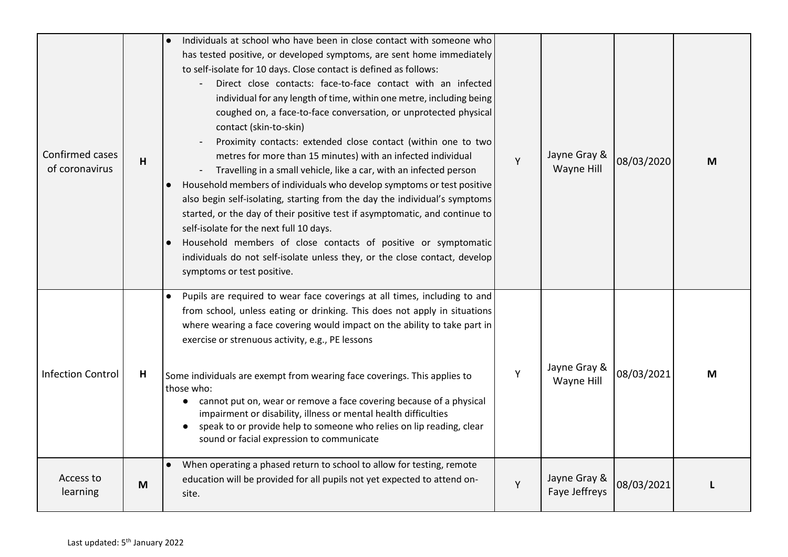| Confirmed cases<br>of coronavirus | н | Individuals at school who have been in close contact with someone who<br>has tested positive, or developed symptoms, are sent home immediately<br>to self-isolate for 10 days. Close contact is defined as follows:<br>Direct close contacts: face-to-face contact with an infected<br>individual for any length of time, within one metre, including being<br>coughed on, a face-to-face conversation, or unprotected physical<br>contact (skin-to-skin)<br>Proximity contacts: extended close contact (within one to two<br>metres for more than 15 minutes) with an infected individual<br>Travelling in a small vehicle, like a car, with an infected person<br>Household members of individuals who develop symptoms or test positive<br>also begin self-isolating, starting from the day the individual's symptoms<br>started, or the day of their positive test if asymptomatic, and continue to<br>self-isolate for the next full 10 days.<br>Household members of close contacts of positive or symptomatic<br>individuals do not self-isolate unless they, or the close contact, develop<br>symptoms or test positive. | Y | Jayne Gray &<br>Wayne Hill    | 08/03/2020 | М |
|-----------------------------------|---|----------------------------------------------------------------------------------------------------------------------------------------------------------------------------------------------------------------------------------------------------------------------------------------------------------------------------------------------------------------------------------------------------------------------------------------------------------------------------------------------------------------------------------------------------------------------------------------------------------------------------------------------------------------------------------------------------------------------------------------------------------------------------------------------------------------------------------------------------------------------------------------------------------------------------------------------------------------------------------------------------------------------------------------------------------------------------------------------------------------------------------|---|-------------------------------|------------|---|
| <b>Infection Control</b>          | н | Pupils are required to wear face coverings at all times, including to and<br>from school, unless eating or drinking. This does not apply in situations<br>where wearing a face covering would impact on the ability to take part in<br>exercise or strenuous activity, e.g., PE lessons<br>Some individuals are exempt from wearing face coverings. This applies to<br>those who:<br>cannot put on, wear or remove a face covering because of a physical<br>$\bullet$<br>impairment or disability, illness or mental health difficulties<br>speak to or provide help to someone who relies on lip reading, clear<br>sound or facial expression to communicate                                                                                                                                                                                                                                                                                                                                                                                                                                                                    | Υ | Jayne Gray &<br>Wayne Hill    | 08/03/2021 | M |
| Access to<br>learning             | M | • When operating a phased return to school to allow for testing, remote<br>education will be provided for all pupils not yet expected to attend on-<br>site.                                                                                                                                                                                                                                                                                                                                                                                                                                                                                                                                                                                                                                                                                                                                                                                                                                                                                                                                                                     | Y | Jayne Gray &<br>Faye Jeffreys | 08/03/2021 |   |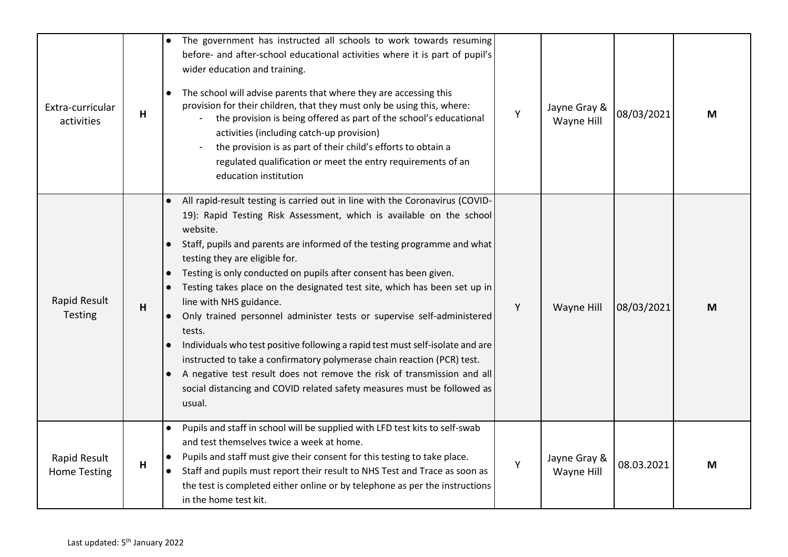| Extra-curricular<br>activities      | H | The government has instructed all schools to work towards resuming<br>before- and after-school educational activities where it is part of pupil's<br>wider education and training.<br>The school will advise parents that where they are accessing this<br>provision for their children, that they must only be using this, where:<br>the provision is being offered as part of the school's educational<br>activities (including catch-up provision)<br>the provision is as part of their child's efforts to obtain a<br>regulated qualification or meet the entry requirements of an<br>education institution                                                                                                                                                                                                                                                                                        | Y | Jayne Gray &<br>Wayne Hill | 08/03/2021 | M |
|-------------------------------------|---|--------------------------------------------------------------------------------------------------------------------------------------------------------------------------------------------------------------------------------------------------------------------------------------------------------------------------------------------------------------------------------------------------------------------------------------------------------------------------------------------------------------------------------------------------------------------------------------------------------------------------------------------------------------------------------------------------------------------------------------------------------------------------------------------------------------------------------------------------------------------------------------------------------|---|----------------------------|------------|---|
| Rapid Result<br>Testing             | H | All rapid-result testing is carried out in line with the Coronavirus (COVID-<br>19): Rapid Testing Risk Assessment, which is available on the school<br>website.<br>Staff, pupils and parents are informed of the testing programme and what<br>testing they are eligible for.<br>Testing is only conducted on pupils after consent has been given.<br>Testing takes place on the designated test site, which has been set up in<br>line with NHS guidance.<br>Only trained personnel administer tests or supervise self-administered<br>$\bullet$<br>tests.<br>Individuals who test positive following a rapid test must self-isolate and are<br>instructed to take a confirmatory polymerase chain reaction (PCR) test.<br>A negative test result does not remove the risk of transmission and all<br>$\bullet$<br>social distancing and COVID related safety measures must be followed as<br>usual. | Y | Wayne Hill                 | 08/03/2021 | M |
| Rapid Result<br><b>Home Testing</b> | H | Pupils and staff in school will be supplied with LFD test kits to self-swab<br>and test themselves twice a week at home.<br>Pupils and staff must give their consent for this testing to take place.<br>$\bullet$<br>Staff and pupils must report their result to NHS Test and Trace as soon as<br>the test is completed either online or by telephone as per the instructions<br>in the home test kit.                                                                                                                                                                                                                                                                                                                                                                                                                                                                                                | Y | Jayne Gray &<br>Wayne Hill | 08.03.2021 | M |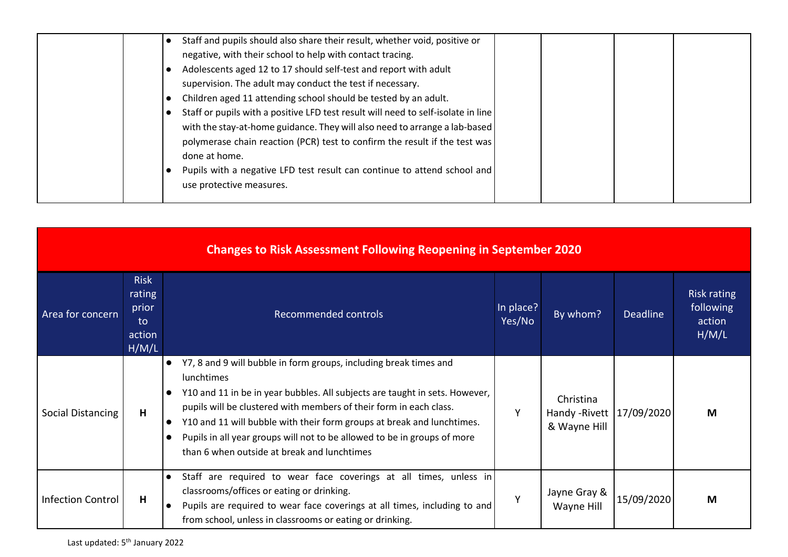| Staff and pupils should also share their result, whether void, positive or        |
|-----------------------------------------------------------------------------------|
| negative, with their school to help with contact tracing.                         |
| Adolescents aged 12 to 17 should self-test and report with adult                  |
| supervision. The adult may conduct the test if necessary.                         |
| Children aged 11 attending school should be tested by an adult.                   |
| Staff or pupils with a positive LFD test result will need to self-isolate in line |
| with the stay-at-home guidance. They will also need to arrange a lab-based        |
| polymerase chain reaction (PCR) test to confirm the result if the test was        |
| done at home.                                                                     |
| Pupils with a negative LFD test result can continue to attend school and          |
| use protective measures.                                                          |
|                                                                                   |

| <b>Changes to Risk Assessment Following Reopening in September 2020</b> |                                                         |                                                                                                                                                                                                                                                                                                                                                                                                                                                                     |                     |                                                          |                 |                                                    |  |  |  |  |
|-------------------------------------------------------------------------|---------------------------------------------------------|---------------------------------------------------------------------------------------------------------------------------------------------------------------------------------------------------------------------------------------------------------------------------------------------------------------------------------------------------------------------------------------------------------------------------------------------------------------------|---------------------|----------------------------------------------------------|-----------------|----------------------------------------------------|--|--|--|--|
| Area for concern                                                        | <b>Risk</b><br>rating<br>prior<br>to<br>action<br>H/M/L | Recommended controls                                                                                                                                                                                                                                                                                                                                                                                                                                                | In place?<br>Yes/No | By whom?                                                 | <b>Deadline</b> | <b>Risk rating</b><br>following<br>action<br>H/M/L |  |  |  |  |
| Social Distancing                                                       | н                                                       | Y7, 8 and 9 will bubble in form groups, including break times and<br>lunchtimes<br>Y10 and 11 in be in year bubbles. All subjects are taught in sets. However,<br>$\bullet$<br>pupils will be clustered with members of their form in each class.<br>Y10 and 11 will bubble with their form groups at break and lunchtimes.<br>$\bullet$<br>Pupils in all year groups will not to be allowed to be in groups of more<br>than 6 when outside at break and lunchtimes | Y                   | Christina<br>Handy - Rivett   17/09/2020<br>& Wayne Hill |                 | М                                                  |  |  |  |  |
| <b>Infection Control</b>                                                | н                                                       | Staff are required to wear face coverings at all times, unless in<br>classrooms/offices or eating or drinking.<br>Pupils are required to wear face coverings at all times, including to and<br>from school, unless in classrooms or eating or drinking.                                                                                                                                                                                                             | Y                   | Jayne Gray &<br>Wayne Hill                               | 15/09/2020      | M                                                  |  |  |  |  |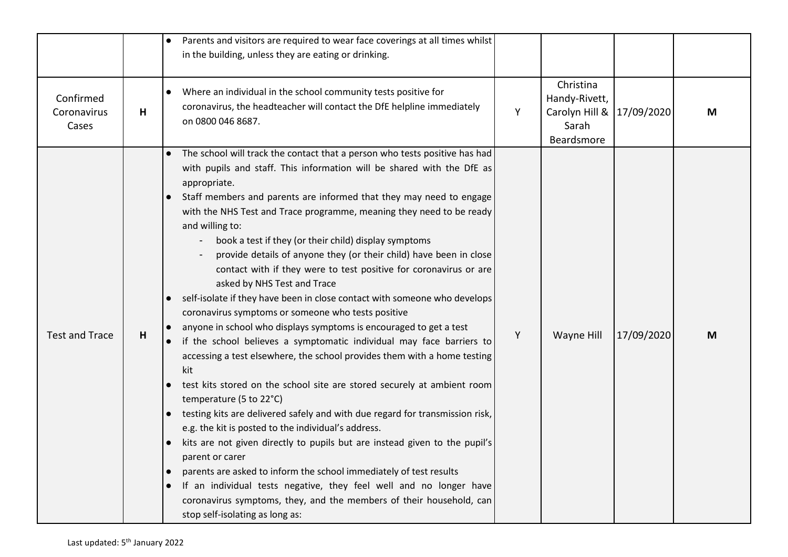|                                   |   | Parents and visitors are required to wear face coverings at all times whilst<br>in the building, unless they are eating or drinking.                                                                                                                                                                                                                                                                                                                                                                                                                                                                                                                                                                                                                                                                                                                                                                                                                                                                                                                                                                                                                                                                                                                                                                                                                                                                                                                                                                                                                |   |                                                                                |            |   |
|-----------------------------------|---|-----------------------------------------------------------------------------------------------------------------------------------------------------------------------------------------------------------------------------------------------------------------------------------------------------------------------------------------------------------------------------------------------------------------------------------------------------------------------------------------------------------------------------------------------------------------------------------------------------------------------------------------------------------------------------------------------------------------------------------------------------------------------------------------------------------------------------------------------------------------------------------------------------------------------------------------------------------------------------------------------------------------------------------------------------------------------------------------------------------------------------------------------------------------------------------------------------------------------------------------------------------------------------------------------------------------------------------------------------------------------------------------------------------------------------------------------------------------------------------------------------------------------------------------------------|---|--------------------------------------------------------------------------------|------------|---|
| Confirmed<br>Coronavirus<br>Cases | Н | Where an individual in the school community tests positive for<br>$\bullet$<br>coronavirus, the headteacher will contact the DfE helpline immediately<br>on 0800 046 8687.                                                                                                                                                                                                                                                                                                                                                                                                                                                                                                                                                                                                                                                                                                                                                                                                                                                                                                                                                                                                                                                                                                                                                                                                                                                                                                                                                                          | Y | Christina<br>Handy-Rivett,<br>Carolyn Hill & 17/09/2020<br>Sarah<br>Beardsmore |            | M |
| <b>Test and Trace</b>             | н | • The school will track the contact that a person who tests positive has had<br>with pupils and staff. This information will be shared with the DfE as<br>appropriate.<br>Staff members and parents are informed that they may need to engage<br>with the NHS Test and Trace programme, meaning they need to be ready<br>and willing to:<br>book a test if they (or their child) display symptoms<br>provide details of anyone they (or their child) have been in close<br>contact with if they were to test positive for coronavirus or are<br>asked by NHS Test and Trace<br>self-isolate if they have been in close contact with someone who develops<br>coronavirus symptoms or someone who tests positive<br>anyone in school who displays symptoms is encouraged to get a test<br>if the school believes a symptomatic individual may face barriers to<br>accessing a test elsewhere, the school provides them with a home testing<br>kit<br>test kits stored on the school site are stored securely at ambient room<br>temperature (5 to 22°C)<br>testing kits are delivered safely and with due regard for transmission risk,<br>e.g. the kit is posted to the individual's address.<br>kits are not given directly to pupils but are instead given to the pupil's<br>parent or carer<br>parents are asked to inform the school immediately of test results<br>If an individual tests negative, they feel well and no longer have<br>coronavirus symptoms, they, and the members of their household, can<br>stop self-isolating as long as: | Υ | Wayne Hill                                                                     | 17/09/2020 | M |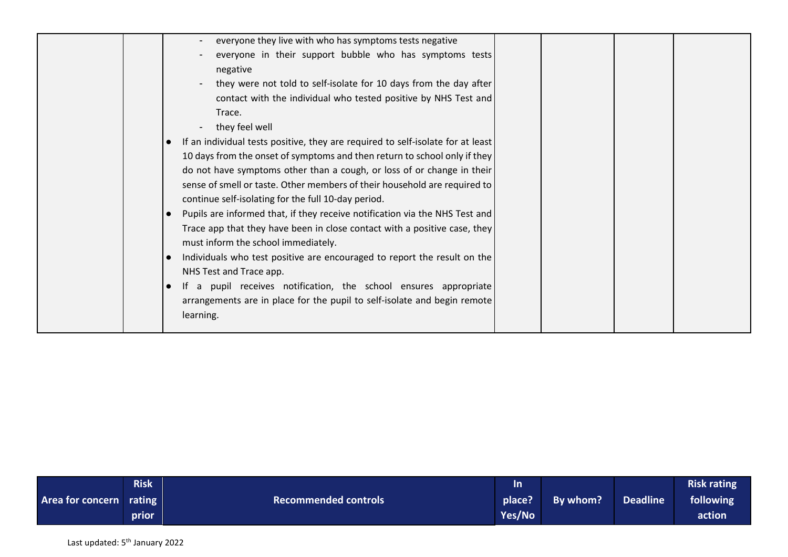|  | everyone they live with who has symptoms tests negative                         |  |  |
|--|---------------------------------------------------------------------------------|--|--|
|  | everyone in their support bubble who has symptoms tests                         |  |  |
|  | negative                                                                        |  |  |
|  | they were not told to self-isolate for 10 days from the day after               |  |  |
|  | contact with the individual who tested positive by NHS Test and                 |  |  |
|  | Trace.                                                                          |  |  |
|  | they feel well                                                                  |  |  |
|  | If an individual tests positive, they are required to self-isolate for at least |  |  |
|  | 10 days from the onset of symptoms and then return to school only if they       |  |  |
|  | do not have symptoms other than a cough, or loss of or change in their          |  |  |
|  | sense of smell or taste. Other members of their household are required to       |  |  |
|  | continue self-isolating for the full 10-day period.                             |  |  |
|  | Pupils are informed that, if they receive notification via the NHS Test and     |  |  |
|  | Trace app that they have been in close contact with a positive case, they       |  |  |
|  | must inform the school immediately.                                             |  |  |
|  | Individuals who test positive are encouraged to report the result on the        |  |  |
|  | NHS Test and Trace app.                                                         |  |  |
|  | If a pupil receives notification, the school ensures appropriate                |  |  |
|  | arrangements are in place for the pupil to self-isolate and begin remote        |  |  |
|  | learning.                                                                       |  |  |
|  |                                                                                 |  |  |

|                         | <b>Risk</b> |                             | In     |          |          | <b>Risk rating</b> |
|-------------------------|-------------|-----------------------------|--------|----------|----------|--------------------|
| Area for concern rating |             | <b>Recommended controls</b> | place? | By whom? | Deadline | following          |
|                         | prior       |                             | Yes/No |          |          | action             |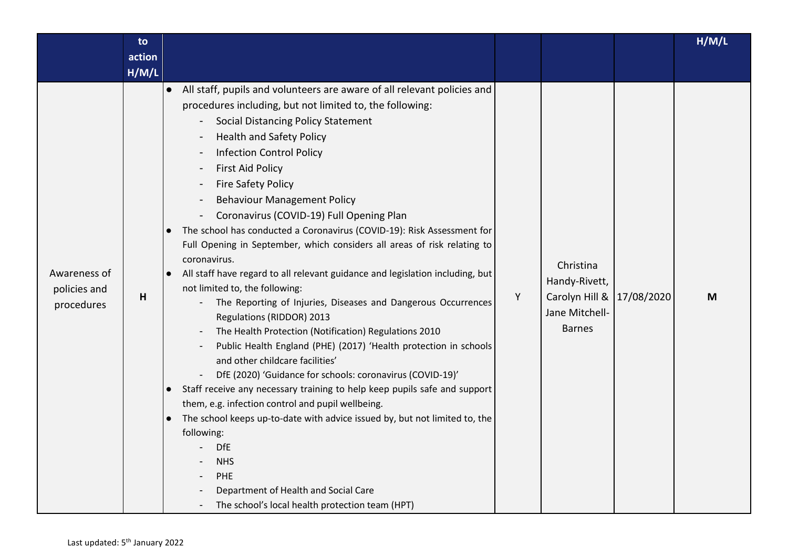|                                            | to     |                                                                                                                                                                                                                                                                                                                                                                                                                                                                                                                                                                                                                                                                                                                                                                                                                                                                                                                                                                                                                                                                                                                                                                                                                                                                                                                                                                                                                  |   |                                                                                 |            | H/M/L |
|--------------------------------------------|--------|------------------------------------------------------------------------------------------------------------------------------------------------------------------------------------------------------------------------------------------------------------------------------------------------------------------------------------------------------------------------------------------------------------------------------------------------------------------------------------------------------------------------------------------------------------------------------------------------------------------------------------------------------------------------------------------------------------------------------------------------------------------------------------------------------------------------------------------------------------------------------------------------------------------------------------------------------------------------------------------------------------------------------------------------------------------------------------------------------------------------------------------------------------------------------------------------------------------------------------------------------------------------------------------------------------------------------------------------------------------------------------------------------------------|---|---------------------------------------------------------------------------------|------------|-------|
|                                            | action |                                                                                                                                                                                                                                                                                                                                                                                                                                                                                                                                                                                                                                                                                                                                                                                                                                                                                                                                                                                                                                                                                                                                                                                                                                                                                                                                                                                                                  |   |                                                                                 |            |       |
|                                            | H/M/L  |                                                                                                                                                                                                                                                                                                                                                                                                                                                                                                                                                                                                                                                                                                                                                                                                                                                                                                                                                                                                                                                                                                                                                                                                                                                                                                                                                                                                                  |   |                                                                                 |            |       |
| Awareness of<br>policies and<br>procedures | н      | All staff, pupils and volunteers are aware of all relevant policies and<br>$\bullet$<br>procedures including, but not limited to, the following:<br>Social Distancing Policy Statement<br><b>Health and Safety Policy</b><br><b>Infection Control Policy</b><br><b>First Aid Policy</b><br><b>Fire Safety Policy</b><br><b>Behaviour Management Policy</b><br>Coronavirus (COVID-19) Full Opening Plan<br>The school has conducted a Coronavirus (COVID-19): Risk Assessment for<br>Full Opening in September, which considers all areas of risk relating to<br>coronavirus.<br>All staff have regard to all relevant guidance and legislation including, but<br>$\bullet$<br>not limited to, the following:<br>The Reporting of Injuries, Diseases and Dangerous Occurrences<br>Regulations (RIDDOR) 2013<br>The Health Protection (Notification) Regulations 2010<br>Public Health England (PHE) (2017) 'Health protection in schools<br>and other childcare facilities'<br>DfE (2020) 'Guidance for schools: coronavirus (COVID-19)'<br>Staff receive any necessary training to help keep pupils safe and support<br>$\bullet$<br>them, e.g. infection control and pupil wellbeing.<br>The school keeps up-to-date with advice issued by, but not limited to, the<br>following:<br><b>DfE</b><br><b>NHS</b><br>PHE<br>Department of Health and Social Care<br>The school's local health protection team (HPT) | Υ | Christina<br>Handy-Rivett,<br>Carolyn Hill &<br>Jane Mitchell-<br><b>Barnes</b> | 17/08/2020 | M     |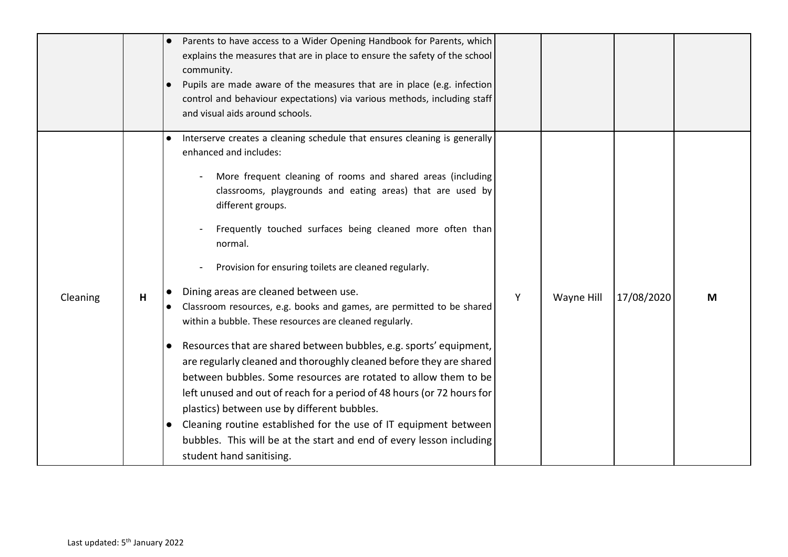|          |   | Parents to have access to a Wider Opening Handbook for Parents, which<br>explains the measures that are in place to ensure the safety of the school<br>community.<br>Pupils are made aware of the measures that are in place (e.g. infection<br>control and behaviour expectations) via various methods, including staff<br>and visual aids around schools.                                                                                                                                                                                                                                                                                                                                                                                                                                                                                                                                                                                                                                                                                                                                                    |   |            |            |   |
|----------|---|----------------------------------------------------------------------------------------------------------------------------------------------------------------------------------------------------------------------------------------------------------------------------------------------------------------------------------------------------------------------------------------------------------------------------------------------------------------------------------------------------------------------------------------------------------------------------------------------------------------------------------------------------------------------------------------------------------------------------------------------------------------------------------------------------------------------------------------------------------------------------------------------------------------------------------------------------------------------------------------------------------------------------------------------------------------------------------------------------------------|---|------------|------------|---|
| Cleaning | H | Interserve creates a cleaning schedule that ensures cleaning is generally<br>enhanced and includes:<br>More frequent cleaning of rooms and shared areas (including<br>classrooms, playgrounds and eating areas) that are used by<br>different groups.<br>Frequently touched surfaces being cleaned more often than<br>normal.<br>Provision for ensuring toilets are cleaned regularly.<br>Dining areas are cleaned between use.<br>Classroom resources, e.g. books and games, are permitted to be shared<br>within a bubble. These resources are cleaned regularly.<br>Resources that are shared between bubbles, e.g. sports' equipment,<br>$\bullet$<br>are regularly cleaned and thoroughly cleaned before they are shared<br>between bubbles. Some resources are rotated to allow them to be<br>left unused and out of reach for a period of 48 hours (or 72 hours for<br>plastics) between use by different bubbles.<br>Cleaning routine established for the use of IT equipment between<br>$\bullet$<br>bubbles. This will be at the start and end of every lesson including<br>student hand sanitising. | Y | Wayne Hill | 17/08/2020 | M |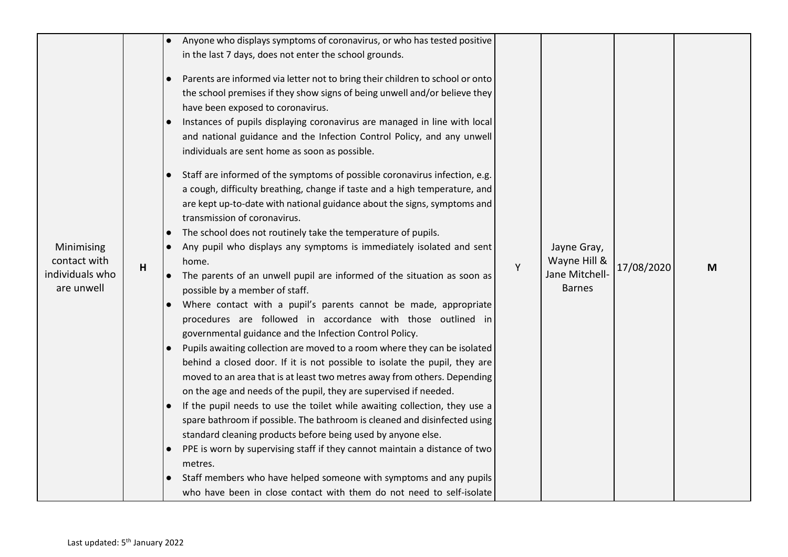| Minimising<br>contact with<br>individuals who<br>are unwell | H | Anyone who displays symptoms of coronavirus, or who has tested positive<br>in the last 7 days, does not enter the school grounds.<br>Parents are informed via letter not to bring their children to school or onto<br>the school premises if they show signs of being unwell and/or believe they<br>have been exposed to coronavirus.<br>Instances of pupils displaying coronavirus are managed in line with local<br>and national guidance and the Infection Control Policy, and any unwell<br>individuals are sent home as soon as possible.<br>Staff are informed of the symptoms of possible coronavirus infection, e.g.<br>a cough, difficulty breathing, change if taste and a high temperature, and<br>are kept up-to-date with national guidance about the signs, symptoms and<br>transmission of coronavirus.<br>The school does not routinely take the temperature of pupils.<br>Any pupil who displays any symptoms is immediately isolated and sent<br>home.<br>The parents of an unwell pupil are informed of the situation as soon as<br>possible by a member of staff.<br>Where contact with a pupil's parents cannot be made, appropriate<br>$\bullet$<br>procedures are followed in accordance with those outlined in<br>governmental guidance and the Infection Control Policy.<br>Pupils awaiting collection are moved to a room where they can be isolated<br>behind a closed door. If it is not possible to isolate the pupil, they are<br>moved to an area that is at least two metres away from others. Depending<br>on the age and needs of the pupil, they are supervised if needed.<br>If the pupil needs to use the toilet while awaiting collection, they use a<br>spare bathroom if possible. The bathroom is cleaned and disinfected using<br>standard cleaning products before being used by anyone else.<br>PPE is worn by supervising staff if they cannot maintain a distance of two<br>metres.<br>Staff members who have helped someone with symptoms and any pupils<br>who have been in close contact with them do not need to self-isolate | Y | Jayne Gray,<br>Wayne Hill &<br>Jane Mitchell-<br><b>Barnes</b> | 17/08/2020 | M |
|-------------------------------------------------------------|---|---------------------------------------------------------------------------------------------------------------------------------------------------------------------------------------------------------------------------------------------------------------------------------------------------------------------------------------------------------------------------------------------------------------------------------------------------------------------------------------------------------------------------------------------------------------------------------------------------------------------------------------------------------------------------------------------------------------------------------------------------------------------------------------------------------------------------------------------------------------------------------------------------------------------------------------------------------------------------------------------------------------------------------------------------------------------------------------------------------------------------------------------------------------------------------------------------------------------------------------------------------------------------------------------------------------------------------------------------------------------------------------------------------------------------------------------------------------------------------------------------------------------------------------------------------------------------------------------------------------------------------------------------------------------------------------------------------------------------------------------------------------------------------------------------------------------------------------------------------------------------------------------------------------------------------------------------------------------------------------------------------------------------------------------------------------------------------|---|----------------------------------------------------------------|------------|---|
|-------------------------------------------------------------|---|---------------------------------------------------------------------------------------------------------------------------------------------------------------------------------------------------------------------------------------------------------------------------------------------------------------------------------------------------------------------------------------------------------------------------------------------------------------------------------------------------------------------------------------------------------------------------------------------------------------------------------------------------------------------------------------------------------------------------------------------------------------------------------------------------------------------------------------------------------------------------------------------------------------------------------------------------------------------------------------------------------------------------------------------------------------------------------------------------------------------------------------------------------------------------------------------------------------------------------------------------------------------------------------------------------------------------------------------------------------------------------------------------------------------------------------------------------------------------------------------------------------------------------------------------------------------------------------------------------------------------------------------------------------------------------------------------------------------------------------------------------------------------------------------------------------------------------------------------------------------------------------------------------------------------------------------------------------------------------------------------------------------------------------------------------------------------------|---|----------------------------------------------------------------|------------|---|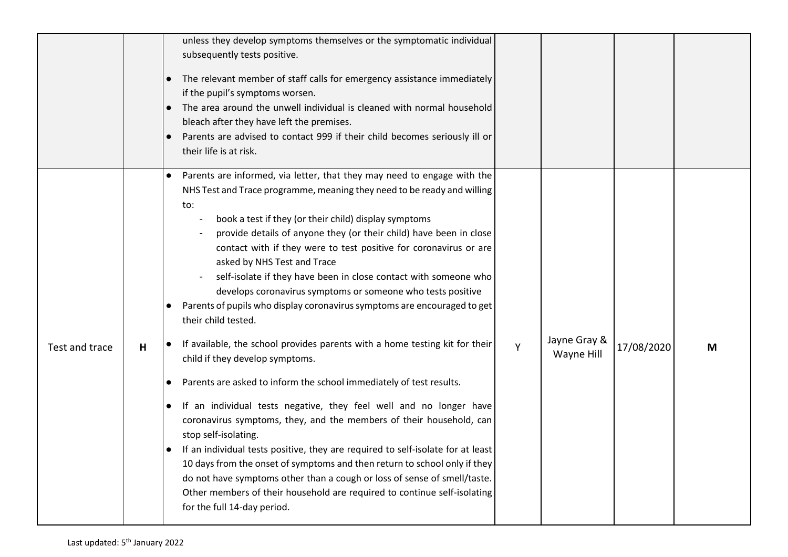|                |   | unless they develop symptoms themselves or the symptomatic individual<br>subsequently tests positive.<br>The relevant member of staff calls for emergency assistance immediately<br>$\bullet$<br>if the pupil's symptoms worsen.<br>The area around the unwell individual is cleaned with normal household<br>$\bullet$<br>bleach after they have left the premises.<br>Parents are advised to contact 999 if their child becomes seriously ill or<br>their life is at risk.                                                                                                                                                                                                                                                                                                                                                                                                                                                                                                                                                                                                                                                                                                                                                                                                                                                                                                                   |   |                            |            |   |
|----------------|---|------------------------------------------------------------------------------------------------------------------------------------------------------------------------------------------------------------------------------------------------------------------------------------------------------------------------------------------------------------------------------------------------------------------------------------------------------------------------------------------------------------------------------------------------------------------------------------------------------------------------------------------------------------------------------------------------------------------------------------------------------------------------------------------------------------------------------------------------------------------------------------------------------------------------------------------------------------------------------------------------------------------------------------------------------------------------------------------------------------------------------------------------------------------------------------------------------------------------------------------------------------------------------------------------------------------------------------------------------------------------------------------------|---|----------------------------|------------|---|
| Test and trace | H | Parents are informed, via letter, that they may need to engage with the<br>$\bullet$<br>NHS Test and Trace programme, meaning they need to be ready and willing<br>to:<br>book a test if they (or their child) display symptoms<br>provide details of anyone they (or their child) have been in close<br>contact with if they were to test positive for coronavirus or are<br>asked by NHS Test and Trace<br>self-isolate if they have been in close contact with someone who<br>develops coronavirus symptoms or someone who tests positive<br>Parents of pupils who display coronavirus symptoms are encouraged to get<br>their child tested.<br>If available, the school provides parents with a home testing kit for their<br>child if they develop symptoms.<br>Parents are asked to inform the school immediately of test results.<br>$\bullet$<br>If an individual tests negative, they feel well and no longer have<br>$\bullet$<br>coronavirus symptoms, they, and the members of their household, can<br>stop self-isolating.<br>If an individual tests positive, they are required to self-isolate for at least<br>10 days from the onset of symptoms and then return to school only if they<br>do not have symptoms other than a cough or loss of sense of smell/taste.<br>Other members of their household are required to continue self-isolating<br>for the full 14-day period. | Y | Jayne Gray &<br>Wayne Hill | 17/08/2020 | M |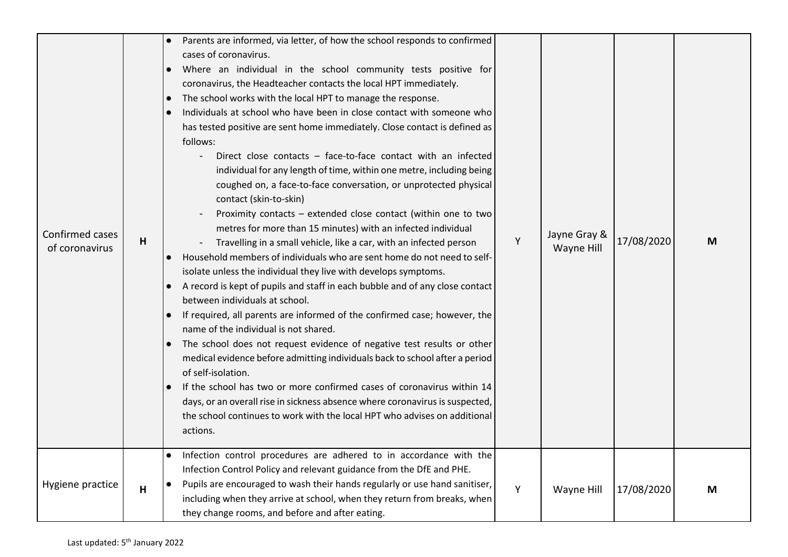| Confirmed cases<br>of coronavirus | H | Parents are informed, via letter, of how the school responds to confirmed<br>cases of coronavirus.<br>Where an individual in the school community tests positive for<br>coronavirus, the Headteacher contacts the local HPT immediately.<br>The school works with the local HPT to manage the response.<br>Individuals at school who have been in close contact with someone who<br>$\bullet$<br>has tested positive are sent home immediately. Close contact is defined as<br>follows:<br>Direct close contacts - face-to-face contact with an infected<br>individual for any length of time, within one metre, including being<br>coughed on, a face-to-face conversation, or unprotected physical<br>contact (skin-to-skin)<br>Proximity contacts - extended close contact (within one to two<br>metres for more than 15 minutes) with an infected individual<br>Travelling in a small vehicle, like a car, with an infected person<br>Household members of individuals who are sent home do not need to self-<br>$\bullet$<br>isolate unless the individual they live with develops symptoms.<br>A record is kept of pupils and staff in each bubble and of any close contact<br>between individuals at school.<br>If required, all parents are informed of the confirmed case; however, the<br>name of the individual is not shared.<br>The school does not request evidence of negative test results or other<br>medical evidence before admitting individuals back to school after a period<br>of self-isolation.<br>If the school has two or more confirmed cases of coronavirus within 14<br>days, or an overall rise in sickness absence where coronavirus is suspected,<br>the school continues to work with the local HPT who advises on additional<br>actions.<br>Infection control procedures are adhered to in accordance with the | Y | Jayne Gray &<br>Wayne Hill | 17/08/2020 | M |
|-----------------------------------|---|---------------------------------------------------------------------------------------------------------------------------------------------------------------------------------------------------------------------------------------------------------------------------------------------------------------------------------------------------------------------------------------------------------------------------------------------------------------------------------------------------------------------------------------------------------------------------------------------------------------------------------------------------------------------------------------------------------------------------------------------------------------------------------------------------------------------------------------------------------------------------------------------------------------------------------------------------------------------------------------------------------------------------------------------------------------------------------------------------------------------------------------------------------------------------------------------------------------------------------------------------------------------------------------------------------------------------------------------------------------------------------------------------------------------------------------------------------------------------------------------------------------------------------------------------------------------------------------------------------------------------------------------------------------------------------------------------------------------------------------------------------------------------------------------------------------------------------------------------|---|----------------------------|------------|---|
| Hygiene practice                  | H | Infection Control Policy and relevant guidance from the DfE and PHE.<br>Pupils are encouraged to wash their hands regularly or use hand sanitiser,<br>including when they arrive at school, when they return from breaks, when<br>they change rooms, and before and after eating.                                                                                                                                                                                                                                                                                                                                                                                                                                                                                                                                                                                                                                                                                                                                                                                                                                                                                                                                                                                                                                                                                                                                                                                                                                                                                                                                                                                                                                                                                                                                                                 | Y | Wayne Hill                 | 17/08/2020 | M |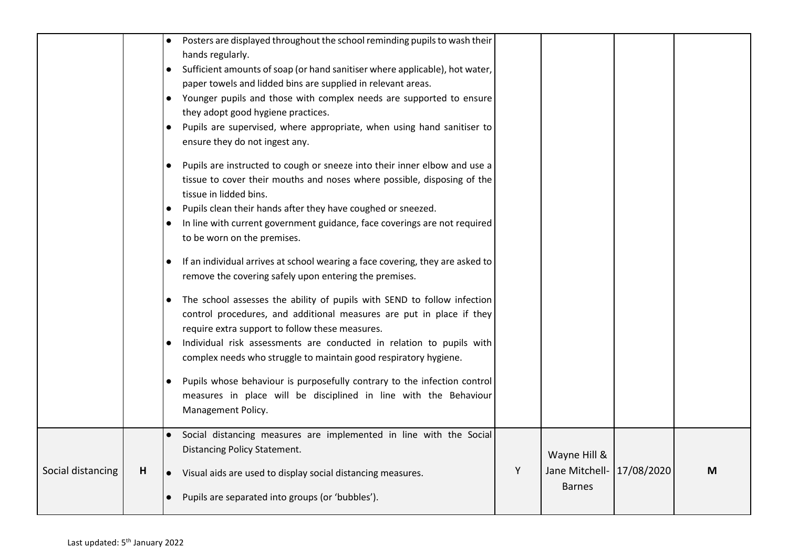|                   |   | Posters are displayed throughout the school reminding pupils to wash their<br>hands regularly.<br>Sufficient amounts of soap (or hand sanitiser where applicable), hot water,<br>paper towels and lidded bins are supplied in relevant areas.<br>• Younger pupils and those with complex needs are supported to ensure<br>they adopt good hygiene practices.<br>Pupils are supervised, where appropriate, when using hand sanitiser to<br>ensure they do not ingest any.<br>Pupils are instructed to cough or sneeze into their inner elbow and use a<br>$\bullet$<br>tissue to cover their mouths and noses where possible, disposing of the<br>tissue in lidded bins.<br>Pupils clean their hands after they have coughed or sneezed.<br>$\bullet$<br>In line with current government guidance, face coverings are not required<br>$\bullet$<br>to be worn on the premises.<br>If an individual arrives at school wearing a face covering, they are asked to<br>$\bullet$<br>remove the covering safely upon entering the premises.<br>The school assesses the ability of pupils with SEND to follow infection<br>control procedures, and additional measures are put in place if they<br>require extra support to follow these measures.<br>Individual risk assessments are conducted in relation to pupils with<br>complex needs who struggle to maintain good respiratory hygiene.<br>Pupils whose behaviour is purposefully contrary to the infection control<br>$\bullet$<br>measures in place will be disciplined in line with the Behaviour<br>Management Policy. |   |                                                            |   |
|-------------------|---|----------------------------------------------------------------------------------------------------------------------------------------------------------------------------------------------------------------------------------------------------------------------------------------------------------------------------------------------------------------------------------------------------------------------------------------------------------------------------------------------------------------------------------------------------------------------------------------------------------------------------------------------------------------------------------------------------------------------------------------------------------------------------------------------------------------------------------------------------------------------------------------------------------------------------------------------------------------------------------------------------------------------------------------------------------------------------------------------------------------------------------------------------------------------------------------------------------------------------------------------------------------------------------------------------------------------------------------------------------------------------------------------------------------------------------------------------------------------------------------------------------------------------------------------------------------------------|---|------------------------------------------------------------|---|
| Social distancing | H | Social distancing measures are implemented in line with the Social<br>Distancing Policy Statement.<br>Visual aids are used to display social distancing measures.<br>$\bullet$<br>Pupils are separated into groups (or 'bubbles').                                                                                                                                                                                                                                                                                                                                                                                                                                                                                                                                                                                                                                                                                                                                                                                                                                                                                                                                                                                                                                                                                                                                                                                                                                                                                                                                         | Y | Wayne Hill &<br>Jane Mitchell- 17/08/2020<br><b>Barnes</b> | M |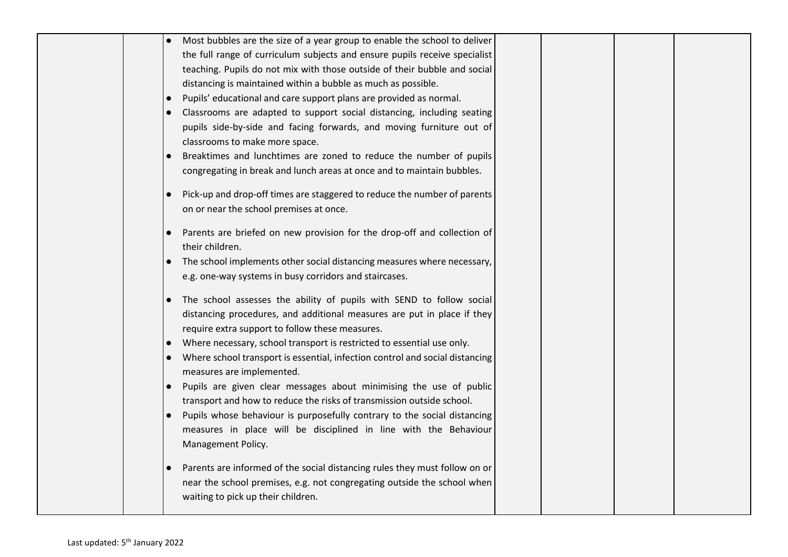|  | Most bubbles are the size of a year group to enable the school to deliver                               |  |
|--|---------------------------------------------------------------------------------------------------------|--|
|  | the full range of curriculum subjects and ensure pupils receive specialist                              |  |
|  | teaching. Pupils do not mix with those outside of their bubble and social                               |  |
|  | distancing is maintained within a bubble as much as possible.                                           |  |
|  | Pupils' educational and care support plans are provided as normal.<br>$\bullet$                         |  |
|  | Classrooms are adapted to support social distancing, including seating                                  |  |
|  | pupils side-by-side and facing forwards, and moving furniture out of                                    |  |
|  | classrooms to make more space.                                                                          |  |
|  | Breaktimes and lunchtimes are zoned to reduce the number of pupils<br>$\bullet$                         |  |
|  | congregating in break and lunch areas at once and to maintain bubbles.                                  |  |
|  |                                                                                                         |  |
|  | Pick-up and drop-off times are staggered to reduce the number of parents<br>$\bullet$                   |  |
|  | on or near the school premises at once.                                                                 |  |
|  |                                                                                                         |  |
|  | Parents are briefed on new provision for the drop-off and collection of<br>$\bullet$<br>their children. |  |
|  |                                                                                                         |  |
|  | The school implements other social distancing measures where necessary,<br>$\bullet$                    |  |
|  | e.g. one-way systems in busy corridors and staircases.                                                  |  |
|  | The school assesses the ability of pupils with SEND to follow social                                    |  |
|  | distancing procedures, and additional measures are put in place if they                                 |  |
|  | require extra support to follow these measures.                                                         |  |
|  | Where necessary, school transport is restricted to essential use only.                                  |  |
|  | Where school transport is essential, infection control and social distancing                            |  |
|  | measures are implemented.                                                                               |  |
|  | Pupils are given clear messages about minimising the use of public<br>$\bullet$                         |  |
|  | transport and how to reduce the risks of transmission outside school.                                   |  |
|  | Pupils whose behaviour is purposefully contrary to the social distancing<br>$\bullet$                   |  |
|  | measures in place will be disciplined in line with the Behaviour                                        |  |
|  | Management Policy.                                                                                      |  |
|  |                                                                                                         |  |
|  | Parents are informed of the social distancing rules they must follow on or                              |  |
|  | near the school premises, e.g. not congregating outside the school when                                 |  |
|  | waiting to pick up their children.                                                                      |  |
|  |                                                                                                         |  |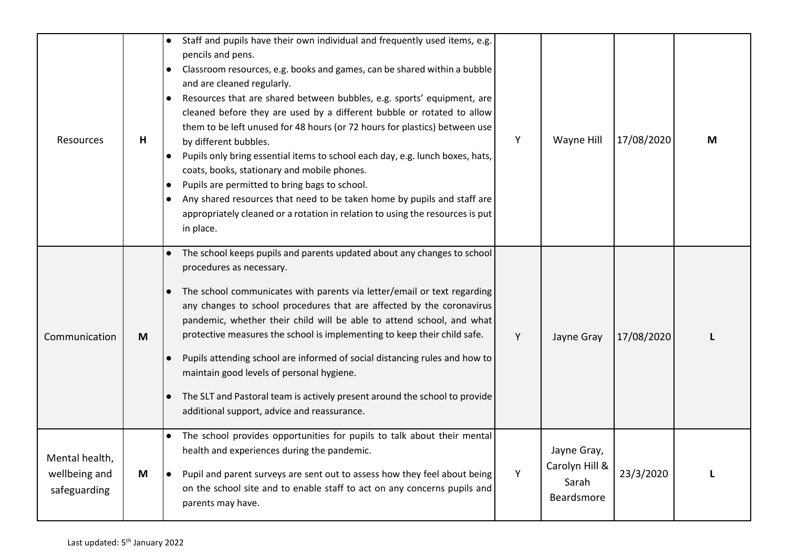| Resources                                       | H | Staff and pupils have their own individual and frequently used items, e.g.<br>pencils and pens.<br>Classroom resources, e.g. books and games, can be shared within a bubble<br>and are cleaned regularly.<br>Resources that are shared between bubbles, e.g. sports' equipment, are<br>cleaned before they are used by a different bubble or rotated to allow<br>them to be left unused for 48 hours (or 72 hours for plastics) between use<br>by different bubbles.<br>Pupils only bring essential items to school each day, e.g. lunch boxes, hats,<br>$\bullet$<br>coats, books, stationary and mobile phones.<br>Pupils are permitted to bring bags to school.<br>$\bullet$<br>Any shared resources that need to be taken home by pupils and staff are<br>appropriately cleaned or a rotation in relation to using the resources is put<br>in place. | Y | Wayne Hill                                           | 17/08/2020 | M |
|-------------------------------------------------|---|----------------------------------------------------------------------------------------------------------------------------------------------------------------------------------------------------------------------------------------------------------------------------------------------------------------------------------------------------------------------------------------------------------------------------------------------------------------------------------------------------------------------------------------------------------------------------------------------------------------------------------------------------------------------------------------------------------------------------------------------------------------------------------------------------------------------------------------------------------|---|------------------------------------------------------|------------|---|
| Communication                                   | M | The school keeps pupils and parents updated about any changes to school<br>procedures as necessary.<br>The school communicates with parents via letter/email or text regarding<br>any changes to school procedures that are affected by the coronavirus<br>pandemic, whether their child will be able to attend school, and what<br>protective measures the school is implementing to keep their child safe.<br>Pupils attending school are informed of social distancing rules and how to<br>maintain good levels of personal hygiene.<br>The SLT and Pastoral team is actively present around the school to provide<br>additional support, advice and reassurance.                                                                                                                                                                                     | Y | Jayne Gray                                           | 17/08/2020 |   |
| Mental health,<br>wellbeing and<br>safeguarding | M | The school provides opportunities for pupils to talk about their mental<br>health and experiences during the pandemic.<br>Pupil and parent surveys are sent out to assess how they feel about being<br>on the school site and to enable staff to act on any concerns pupils and<br>parents may have.                                                                                                                                                                                                                                                                                                                                                                                                                                                                                                                                                     | Y | Jayne Gray,<br>Carolyn Hill &<br>Sarah<br>Beardsmore | 23/3/2020  | п |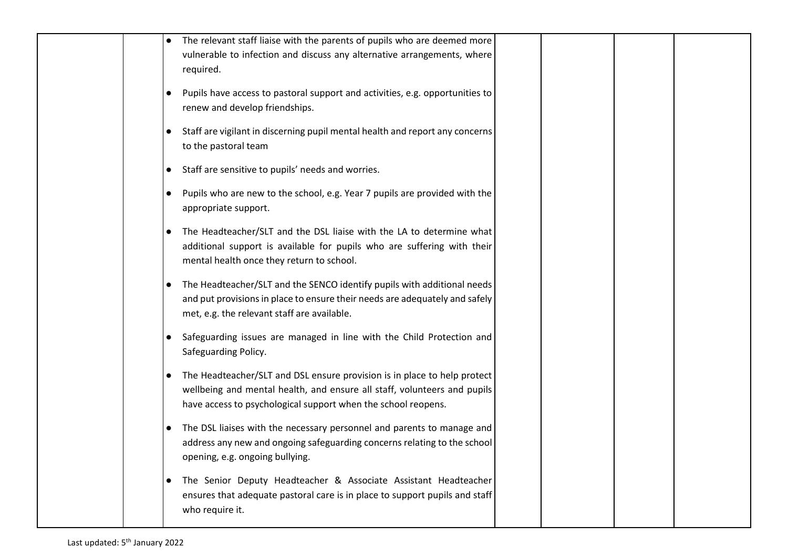|  | The relevant staff liaise with the parents of pupils who are deemed more<br>vulnerable to infection and discuss any alternative arrangements, where<br>required.                                                                   |  |
|--|------------------------------------------------------------------------------------------------------------------------------------------------------------------------------------------------------------------------------------|--|
|  | Pupils have access to pastoral support and activities, e.g. opportunities to<br>$\bullet$<br>renew and develop friendships.                                                                                                        |  |
|  | Staff are vigilant in discerning pupil mental health and report any concerns<br>$\bullet$<br>to the pastoral team                                                                                                                  |  |
|  | Staff are sensitive to pupils' needs and worries.<br>$\bullet$                                                                                                                                                                     |  |
|  | Pupils who are new to the school, e.g. Year 7 pupils are provided with the<br>$\bullet$<br>appropriate support.                                                                                                                    |  |
|  | The Headteacher/SLT and the DSL liaise with the LA to determine what<br>$\bullet$<br>additional support is available for pupils who are suffering with their<br>mental health once they return to school.                          |  |
|  | The Headteacher/SLT and the SENCO identify pupils with additional needs<br>$\bullet$<br>and put provisions in place to ensure their needs are adequately and safely<br>met, e.g. the relevant staff are available.                 |  |
|  | Safeguarding issues are managed in line with the Child Protection and<br>$\bullet$<br>Safeguarding Policy.                                                                                                                         |  |
|  | The Headteacher/SLT and DSL ensure provision is in place to help protect<br>$\bullet$<br>wellbeing and mental health, and ensure all staff, volunteers and pupils<br>have access to psychological support when the school reopens. |  |
|  | The DSL liaises with the necessary personnel and parents to manage and<br>$\bullet$<br>address any new and ongoing safeguarding concerns relating to the school<br>opening, e.g. ongoing bullying.                                 |  |
|  | The Senior Deputy Headteacher & Associate Assistant Headteacher<br>$\bullet$<br>ensures that adequate pastoral care is in place to support pupils and staff<br>who require it.                                                     |  |
|  |                                                                                                                                                                                                                                    |  |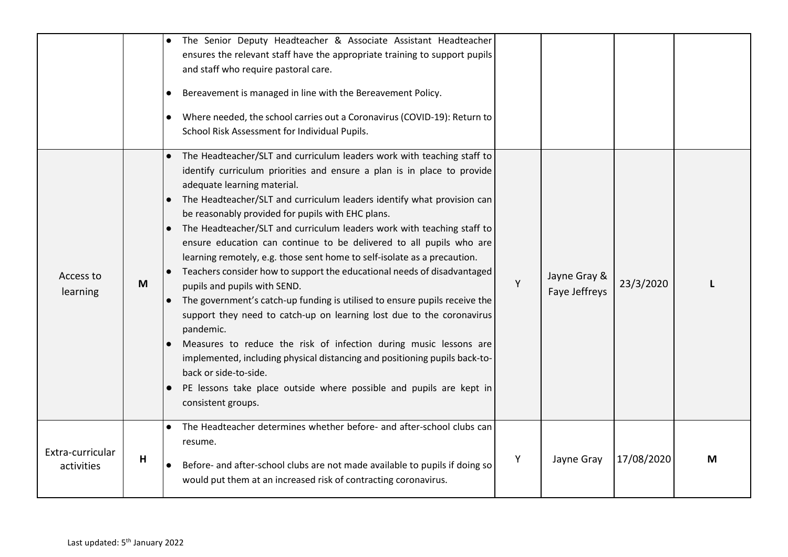|                                |   | The Senior Deputy Headteacher & Associate Assistant Headteacher<br>$\bullet$<br>ensures the relevant staff have the appropriate training to support pupils<br>and staff who require pastoral care.<br>Bereavement is managed in line with the Bereavement Policy.<br>$\bullet$<br>Where needed, the school carries out a Coronavirus (COVID-19): Return to<br>$\bullet$<br>School Risk Assessment for Individual Pupils.                                                                                                                                                                                                                                                                                                                                                                                                                                                                                                                                                                                                                                                                                                                                 |   |                               |            |   |
|--------------------------------|---|----------------------------------------------------------------------------------------------------------------------------------------------------------------------------------------------------------------------------------------------------------------------------------------------------------------------------------------------------------------------------------------------------------------------------------------------------------------------------------------------------------------------------------------------------------------------------------------------------------------------------------------------------------------------------------------------------------------------------------------------------------------------------------------------------------------------------------------------------------------------------------------------------------------------------------------------------------------------------------------------------------------------------------------------------------------------------------------------------------------------------------------------------------|---|-------------------------------|------------|---|
| Access to<br>learning          | M | The Headteacher/SLT and curriculum leaders work with teaching staff to<br>$\bullet$<br>identify curriculum priorities and ensure a plan is in place to provide<br>adequate learning material.<br>The Headteacher/SLT and curriculum leaders identify what provision can<br>be reasonably provided for pupils with EHC plans.<br>The Headteacher/SLT and curriculum leaders work with teaching staff to<br>$\bullet$<br>ensure education can continue to be delivered to all pupils who are<br>learning remotely, e.g. those sent home to self-isolate as a precaution.<br>Teachers consider how to support the educational needs of disadvantaged<br>$\bullet$<br>pupils and pupils with SEND.<br>The government's catch-up funding is utilised to ensure pupils receive the<br>$\bullet$<br>support they need to catch-up on learning lost due to the coronavirus<br>pandemic.<br>Measures to reduce the risk of infection during music lessons are<br>implemented, including physical distancing and positioning pupils back-to-<br>back or side-to-side.<br>PE lessons take place outside where possible and pupils are kept in<br>consistent groups. | Y | Jayne Gray &<br>Faye Jeffreys | 23/3/2020  |   |
| Extra-curricular<br>activities | н | The Headteacher determines whether before- and after-school clubs can<br>$\bullet$<br>resume.<br>Before- and after-school clubs are not made available to pupils if doing so<br>$\bullet$<br>would put them at an increased risk of contracting coronavirus.                                                                                                                                                                                                                                                                                                                                                                                                                                                                                                                                                                                                                                                                                                                                                                                                                                                                                             | Υ | Jayne Gray                    | 17/08/2020 | M |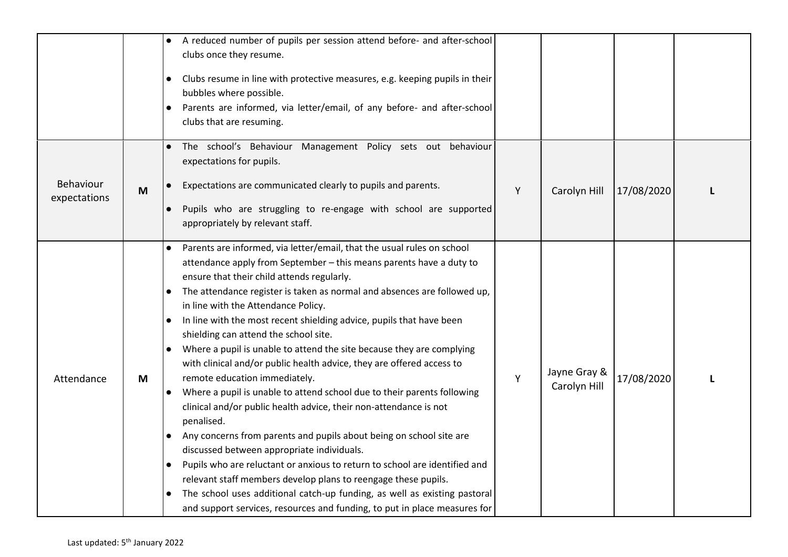|                           |   | A reduced number of pupils per session attend before- and after-school<br>clubs once they resume.<br>Clubs resume in line with protective measures, e.g. keeping pupils in their<br>$\bullet$<br>bubbles where possible.<br>Parents are informed, via letter/email, of any before- and after-school<br>$\bullet$<br>clubs that are resuming.                                                                                                                                                                                                                                                                                                                                                                                                                                                                                                                                                                                                                                                                                                                                                                                                                                                                                                                        |   |                              |            |  |
|---------------------------|---|---------------------------------------------------------------------------------------------------------------------------------------------------------------------------------------------------------------------------------------------------------------------------------------------------------------------------------------------------------------------------------------------------------------------------------------------------------------------------------------------------------------------------------------------------------------------------------------------------------------------------------------------------------------------------------------------------------------------------------------------------------------------------------------------------------------------------------------------------------------------------------------------------------------------------------------------------------------------------------------------------------------------------------------------------------------------------------------------------------------------------------------------------------------------------------------------------------------------------------------------------------------------|---|------------------------------|------------|--|
| Behaviour<br>expectations | M | The school's Behaviour Management Policy sets out behaviour<br>expectations for pupils.<br>Expectations are communicated clearly to pupils and parents.<br>Pupils who are struggling to re-engage with school are supported<br>appropriately by relevant staff.                                                                                                                                                                                                                                                                                                                                                                                                                                                                                                                                                                                                                                                                                                                                                                                                                                                                                                                                                                                                     | Y | Carolyn Hill                 | 17/08/2020 |  |
| Attendance                | M | Parents are informed, via letter/email, that the usual rules on school<br>attendance apply from September - this means parents have a duty to<br>ensure that their child attends regularly.<br>The attendance register is taken as normal and absences are followed up,<br>in line with the Attendance Policy.<br>In line with the most recent shielding advice, pupils that have been<br>$\bullet$<br>shielding can attend the school site.<br>Where a pupil is unable to attend the site because they are complying<br>$\bullet$<br>with clinical and/or public health advice, they are offered access to<br>remote education immediately.<br>Where a pupil is unable to attend school due to their parents following<br>$\bullet$<br>clinical and/or public health advice, their non-attendance is not<br>penalised.<br>Any concerns from parents and pupils about being on school site are<br>$\bullet$<br>discussed between appropriate individuals.<br>Pupils who are reluctant or anxious to return to school are identified and<br>relevant staff members develop plans to reengage these pupils.<br>The school uses additional catch-up funding, as well as existing pastoral<br>and support services, resources and funding, to put in place measures for | Y | Jayne Gray &<br>Carolyn Hill | 17/08/2020 |  |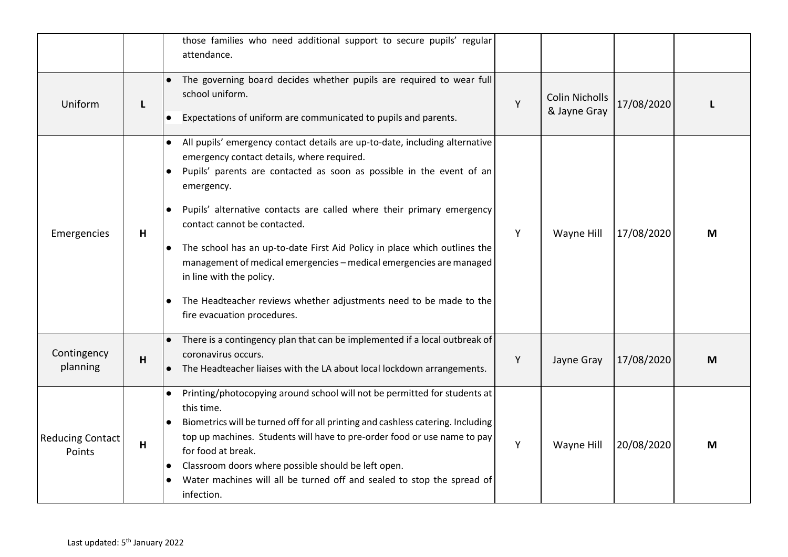|                                   |   | those families who need additional support to secure pupils' regular<br>attendance.                                                                                                                                                                                                                                                                                                                                                                                                                                                                                                                                                                  |   |                                       |            |   |
|-----------------------------------|---|------------------------------------------------------------------------------------------------------------------------------------------------------------------------------------------------------------------------------------------------------------------------------------------------------------------------------------------------------------------------------------------------------------------------------------------------------------------------------------------------------------------------------------------------------------------------------------------------------------------------------------------------------|---|---------------------------------------|------------|---|
| Uniform                           | L | The governing board decides whether pupils are required to wear full<br>school uniform.<br>Expectations of uniform are communicated to pupils and parents.<br>$\bullet$                                                                                                                                                                                                                                                                                                                                                                                                                                                                              | Y | <b>Colin Nicholls</b><br>& Jayne Gray | 17/08/2020 |   |
| Emergencies                       | н | All pupils' emergency contact details are up-to-date, including alternative<br>$\bullet$<br>emergency contact details, where required.<br>Pupils' parents are contacted as soon as possible in the event of an<br>emergency.<br>Pupils' alternative contacts are called where their primary emergency<br>$\bullet$<br>contact cannot be contacted.<br>The school has an up-to-date First Aid Policy in place which outlines the<br>$\bullet$<br>management of medical emergencies - medical emergencies are managed<br>in line with the policy.<br>The Headteacher reviews whether adjustments need to be made to the<br>fire evacuation procedures. | Y | Wayne Hill                            | 17/08/2020 | M |
| Contingency<br>planning           | H | • There is a contingency plan that can be implemented if a local outbreak of<br>coronavirus occurs.<br>The Headteacher liaises with the LA about local lockdown arrangements.<br>$\bullet$                                                                                                                                                                                                                                                                                                                                                                                                                                                           | Y | Jayne Gray                            | 17/08/2020 | M |
| <b>Reducing Contact</b><br>Points | н | Printing/photocopying around school will not be permitted for students at<br>this time.<br>Biometrics will be turned off for all printing and cashless catering. Including<br>top up machines. Students will have to pre-order food or use name to pay<br>for food at break.<br>Classroom doors where possible should be left open.<br>Water machines will all be turned off and sealed to stop the spread of<br>infection.                                                                                                                                                                                                                          | Y | Wayne Hill                            | 20/08/2020 | M |